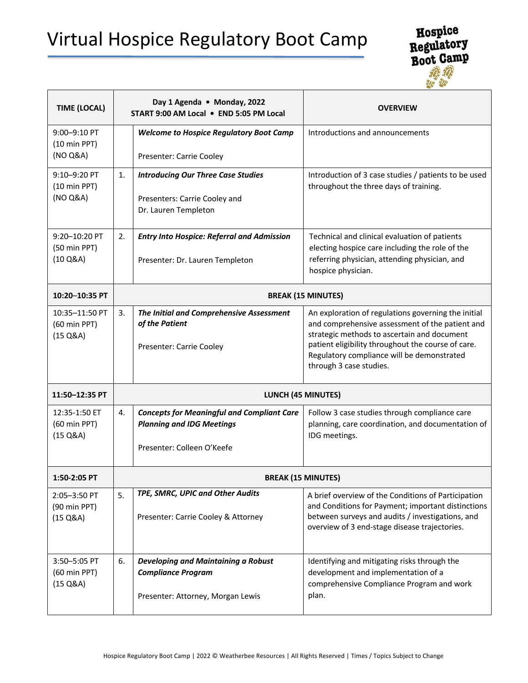## Virtual Hospice Regulatory Boot Camp



| <b>TIME (LOCAL)</b>                                            | Day 1 Agenda . Monday, 2022<br>START 9:00 AM Local . END 5:05 PM Local |                                                                                                                     | <b>OVERVIEW</b>                                                                                                                                                                                                                                                                      |  |  |
|----------------------------------------------------------------|------------------------------------------------------------------------|---------------------------------------------------------------------------------------------------------------------|--------------------------------------------------------------------------------------------------------------------------------------------------------------------------------------------------------------------------------------------------------------------------------------|--|--|
| 9:00-9:10 PT<br>$(10 \text{ min } PPT)$<br>(NO Q&A)            |                                                                        | <b>Welcome to Hospice Regulatory Boot Camp</b><br>Presenter: Carrie Cooley                                          | Introductions and announcements                                                                                                                                                                                                                                                      |  |  |
| 9:10-9:20 PT<br>$(10 \text{ min } PPT)$<br>(NO Q&A)            | 1.                                                                     | <b>Introducing Our Three Case Studies</b><br>Presenters: Carrie Cooley and<br>Dr. Lauren Templeton                  | Introduction of 3 case studies / patients to be used<br>throughout the three days of training.                                                                                                                                                                                       |  |  |
| 9:20-10:20 PT<br>(50 min PPT)<br>$(10 \text{ Q} 8A)$           | 2.                                                                     | <b>Entry Into Hospice: Referral and Admission</b><br>Presenter: Dr. Lauren Templeton                                | Technical and clinical evaluation of patients<br>electing hospice care including the role of the<br>referring physician, attending physician, and<br>hospice physician.                                                                                                              |  |  |
| 10:20-10:35 PT                                                 |                                                                        | <b>BREAK (15 MINUTES)</b>                                                                                           |                                                                                                                                                                                                                                                                                      |  |  |
| 10:35-11:50 PT<br>(60 min PPT)<br>$(15 \text{ Q} \& \text{A})$ | 3.                                                                     | The Initial and Comprehensive Assessment<br>of the Patient<br>Presenter: Carrie Cooley                              | An exploration of regulations governing the initial<br>and comprehensive assessment of the patient and<br>strategic methods to ascertain and document<br>patient eligibility throughout the course of care.<br>Regulatory compliance will be demonstrated<br>through 3 case studies. |  |  |
| 11:50-12:35 PT                                                 |                                                                        | <b>LUNCH (45 MINUTES)</b>                                                                                           |                                                                                                                                                                                                                                                                                      |  |  |
| 12:35-1:50 ET<br>(60 min PPT)<br>$(15 \text{ Q} \& \text{A})$  | 4.                                                                     | <b>Concepts for Meaningful and Compliant Care</b><br><b>Planning and IDG Meetings</b><br>Presenter: Colleen O'Keefe | Follow 3 case studies through compliance care<br>planning, care coordination, and documentation of<br>IDG meetings.                                                                                                                                                                  |  |  |
| 1:50-2:05 PT                                                   |                                                                        | <b>BREAK (15 MINUTES)</b>                                                                                           |                                                                                                                                                                                                                                                                                      |  |  |
| 2:05-3:50 PT<br>(90 min PPT)<br>(15 Q&A)                       | 5.                                                                     | TPE, SMRC, UPIC and Other Audits<br>Presenter: Carrie Cooley & Attorney                                             | A brief overview of the Conditions of Participation<br>and Conditions for Payment; important distinctions<br>between surveys and audits / investigations, and<br>overview of 3 end-stage disease trajectories.                                                                       |  |  |
| 3:50-5:05 PT<br>(60 min PPT)<br>$(15 \text{ Q} \& \text{A})$   | 6.                                                                     | Developing and Maintaining a Robust<br><b>Compliance Program</b><br>Presenter: Attorney, Morgan Lewis               | Identifying and mitigating risks through the<br>development and implementation of a<br>comprehensive Compliance Program and work<br>plan.                                                                                                                                            |  |  |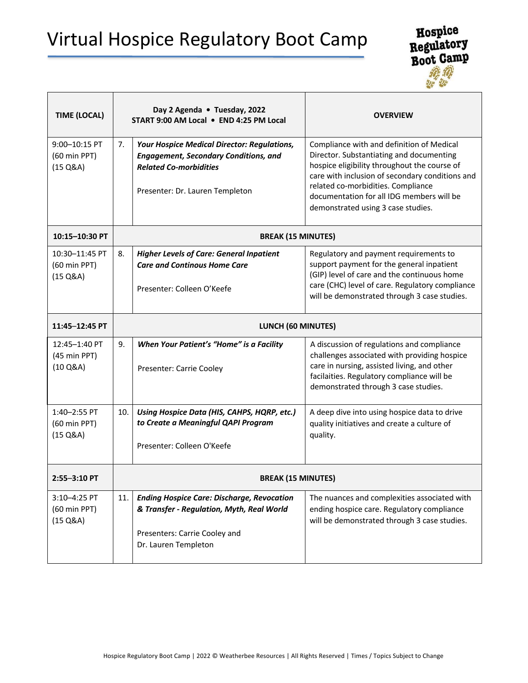## Virtual Hospice Regulatory Boot Camp



| <b>TIME (LOCAL)</b>                                           | Day 2 Agenda . Tuesday, 2022<br>START 9:00 AM Local . END 4:25 PM Local |                                                                                                                                                                 | <b>OVERVIEW</b>                                                                                                                                                                                                                                                                                                   |  |
|---------------------------------------------------------------|-------------------------------------------------------------------------|-----------------------------------------------------------------------------------------------------------------------------------------------------------------|-------------------------------------------------------------------------------------------------------------------------------------------------------------------------------------------------------------------------------------------------------------------------------------------------------------------|--|
| 9:00-10:15 PT<br>(60 min PPT)<br>$(15 \text{ Q} \& \text{A})$ | 7.                                                                      | Your Hospice Medical Director: Regulations,<br><b>Engagement, Secondary Conditions, and</b><br><b>Related Co-morbidities</b><br>Presenter: Dr. Lauren Templeton | Compliance with and definition of Medical<br>Director. Substantiating and documenting<br>hospice eligibility throughout the course of<br>care with inclusion of secondary conditions and<br>related co-morbidities. Compliance<br>documentation for all IDG members will be<br>demonstrated using 3 case studies. |  |
| 10:15-10:30 PT                                                |                                                                         | <b>BREAK (15 MINUTES)</b>                                                                                                                                       |                                                                                                                                                                                                                                                                                                                   |  |
| 10:30-11:45 PT<br>(60 min PPT)<br>$(15 \text{ Q} 8A)$         | 8.                                                                      | <b>Higher Levels of Care: General Inpatient</b><br><b>Care and Continous Home Care</b><br>Presenter: Colleen O'Keefe                                            | Regulatory and payment requirements to<br>support payment for the general inpatient<br>(GIP) level of care and the continuous home<br>care (CHC) level of care. Regulatory compliance<br>will be demonstrated through 3 case studies.                                                                             |  |
| 11:45-12:45 PT                                                |                                                                         | LUNCH (60 MINUTES)                                                                                                                                              |                                                                                                                                                                                                                                                                                                                   |  |
| 12:45-1:40 PT<br>(45 min PPT)<br>$(10 \text{ Q} 8A)$          | 9.                                                                      | When Your Patient's "Home" is a Facility<br>Presenter: Carrie Cooley                                                                                            | A discussion of regulations and compliance<br>challenges associated with providing hospice<br>care in nursing, assisted living, and other<br>facilaities. Regulatory compliance will be<br>demonstrated through 3 case studies.                                                                                   |  |
| 1:40-2:55 PT<br>(60 min PPT)<br>$(15 \text{ Q} 8A)$           | 10.                                                                     | Using Hospice Data (HIS, CAHPS, HQRP, etc.)<br>to Create a Meaningful QAPI Program<br>Presenter: Colleen O'Keefe                                                | A deep dive into using hospice data to drive<br>quality initiatives and create a culture of<br>quality.                                                                                                                                                                                                           |  |
| 2:55-3:10 PT                                                  |                                                                         | <b>BREAK (15 MINUTES)</b>                                                                                                                                       |                                                                                                                                                                                                                                                                                                                   |  |
| 3:10-4:25 PT<br>(60 min PPT)<br>$(15 \text{ Q} \& \text{A})$  | 11.                                                                     | <b>Ending Hospice Care: Discharge, Revocation</b><br>& Transfer - Regulation, Myth, Real World<br>Presenters: Carrie Cooley and<br>Dr. Lauren Templeton         | The nuances and complexities associated with<br>ending hospice care. Regulatory compliance<br>will be demonstrated through 3 case studies.                                                                                                                                                                        |  |